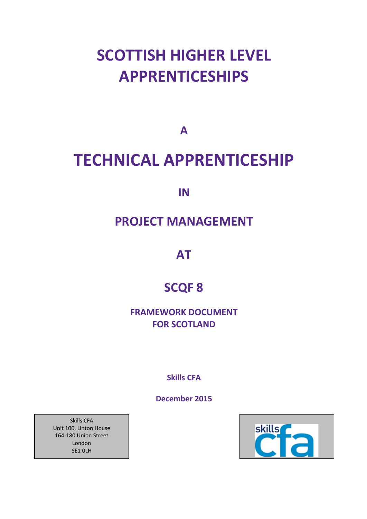# **SCOTTISH HIGHER LEVEL APPRENTICESHIPS**

**A**

# **TECHNICAL APPRENTICESHIP**

**IN**

## **PROJECT MANAGEMENT**

**AT**

## **SCQF 8**

**FRAMEWORK DOCUMENT FOR SCOTLAND**

**Skills CFA** 

**December 2015**



Skills CFA Unit 100, Linton House 164-180 Union Street London SE1 0LH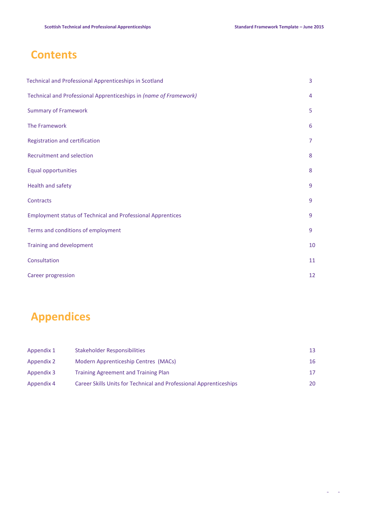## **Contents**

| Technical and Professional Apprenticeships in Scotland             | 3  |
|--------------------------------------------------------------------|----|
| Technical and Professional Apprenticeships in (name of Framework)  | 4  |
| <b>Summary of Framework</b>                                        | 5  |
| The Framework                                                      | 6  |
| Registration and certification                                     | 7  |
| Recruitment and selection                                          | 8  |
| <b>Equal opportunities</b>                                         | 8  |
| Health and safety                                                  | 9  |
| Contracts                                                          | 9  |
| <b>Employment status of Technical and Professional Apprentices</b> | 9  |
| Terms and conditions of employment                                 | 9  |
| Training and development                                           | 10 |
| Consultation                                                       | 11 |
| Career progression                                                 | 12 |

## **Appendices**

| Appendix 1 | <b>Stakeholder Responsibilities</b>                                | 13. |
|------------|--------------------------------------------------------------------|-----|
| Appendix 2 | Modern Apprenticeship Centres (MACs)                               | 16  |
| Appendix 3 | <b>Training Agreement and Training Plan</b>                        | 17. |
| Appendix 4 | Career Skills Units for Technical and Professional Apprenticeships | 20  |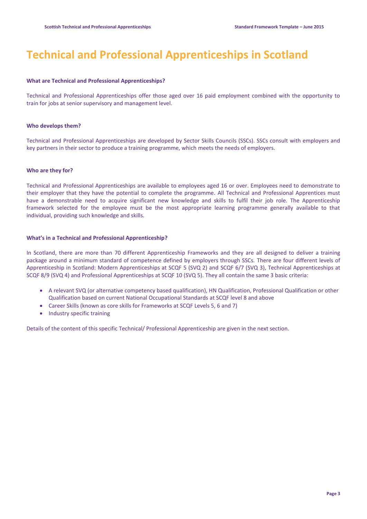## **Technical and Professional Apprenticeships in Scotland**

#### **What are Technical and Professional Apprenticeships?**

Technical and Professional Apprenticeships offer those aged over 16 paid employment combined with the opportunity to train for jobs at senior supervisory and management level.

#### **Who develops them?**

Technical and Professional Apprenticeships are developed by Sector Skills Councils (SSCs). SSCs consult with employers and key partners in their sector to produce a training programme, which meets the needs of employers.

#### **Who are they for?**

Technical and Professional Apprenticeships are available to employees aged 16 or over. Employees need to demonstrate to their employer that they have the potential to complete the programme. All Technical and Professional Apprentices must have a demonstrable need to acquire significant new knowledge and skills to fulfil their job role. The Apprenticeship framework selected for the employee must be the most appropriate learning programme generally available to that individual, providing such knowledge and skills.

#### **What's in a Technical and Professional Apprenticeship?**

In Scotland, there are more than 70 different Apprenticeship Frameworks and they are all designed to deliver a training package around a minimum standard of competence defined by employers through SSCs. There are four different levels of Apprenticeship in Scotland: Modern Apprenticeships at SCQF 5 (SVQ 2) and SCQF 6/7 (SVQ 3), Technical Apprenticeships at SCQF 8/9 (SVQ 4) and Professional Apprenticeships at SCQF 10 (SVQ 5). They all contain the same 3 basic criteria:

- A relevant SVQ (or alternative competency based qualification), HN Qualification, Professional Qualification or other Qualification based on current National Occupational Standards at SCQF level 8 and above
- Career Skills (known as core skills for Frameworks at SCQF Levels 5, 6 and 7)
- Industry specific training

Details of the content of this specific Technical/ Professional Apprenticeship are given in the next section.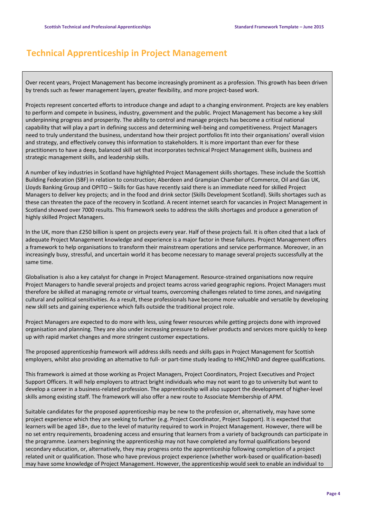## **Technical Apprenticeship in Project Management**

Over recent years, Project Management has become increasingly prominent as a profession. This growth has been driven by trends such as fewer management layers, greater flexibility, and more project-based work.

Projects represent concerted efforts to introduce change and adapt to a changing environment. Projects are key enablers to perform and compete in business, industry, government and the public. Project Management has become a key skill underpinning progress and prosperity. The ability to control and manage projects has become a critical national capability that will play a part in defining success and determining well-being and competitiveness. Project Managers need to truly understand the business, understand how their project portfolios fit into their organisations' overall vision and strategy, and effectively convey this information to stakeholders. It is more important than ever for these practitioners to have a deep, balanced skill set that incorporates technical Project Management skills, business and strategic management skills, and leadership skills.

A number of key industries in Scotland have highlighted Project Management skills shortages. These include the Scottish Building Federation (SBF) in relation to construction; Aberdeen and Grampian Chamber of Commerce, Oil and Gas UK, Lloyds Banking Group and OPITO – Skills for Gas have recently said there is an immediate need for skilled Project Managers to deliver key projects; and in the food and drink sector (Skills Development Scotland). Skills shortages such as these can threaten the pace of the recovery in Scotland. A recent internet search for vacancies in Project Management in Scotland showed over 7000 results. This framework seeks to address the skills shortages and produce a generation of highly skilled Project Managers.

In the UK, more than £250 billion is spent on projects every year. Half of these projects fail. It is often cited that a lack of adequate Project Management knowledge and experience is a major factor in these failures. Project Management offers a framework to help organisations to transform their mainstream operations and service performance. Moreover, in an increasingly busy, stressful, and uncertain world it has become necessary to manage several projects successfully at the same time.

Globalisation is also a key catalyst for change in Project Management. Resource-strained organisations now require Project Managers to handle several projects and project teams across varied geographic regions. Project Managers must therefore be skilled at managing remote or virtual teams, overcoming challenges related to time zones, and navigating cultural and political sensitivities. As a result, these professionals have become more valuable and versatile by developing new skill sets and gaining experience which falls outside the traditional project role.

Project Managers are expected to do more with less, using fewer resources while getting projects done with improved organisation and planning. They are also under increasing pressure to deliver products and services more quickly to keep up with rapid market changes and more stringent customer expectations.

The proposed apprenticeship framework will address skills needs and skills gaps in Project Management for Scottish employers, whilst also providing an alternative to full- or part-time study leading to HNC/HND and degree qualifications.

This framework is aimed at those working as Project Managers, Project Coordinators, Project Executives and Project Support Officers. It will help employers to attract bright individuals who may not want to go to university but want to develop a career in a business-related profession. The apprenticeship will also support the development of higher-level skills among existing staff. The framework will also offer a new route to Associate Membership of APM.

Suitable candidates for the proposed apprenticeship may be new to the profession or, alternatively, may have some project experience which they are seeking to further (e.g. Project Coordinator, Project Support). It is expected that learners will be aged 18+, due to the level of maturity required to work in Project Management. However, there will be no set entry requirements, broadening access and ensuring that learners from a variety of backgrounds can participate in the programme. Learners beginning the apprenticeship may not have completed any formal qualifications beyond secondary education, or, alternatively, they may progress onto the apprenticeship following completion of a project related unit or qualification. Those who have previous project experience (whether work-based or qualification-based) may have some knowledge of Project Management. However, the apprenticeship would seek to enable an individual to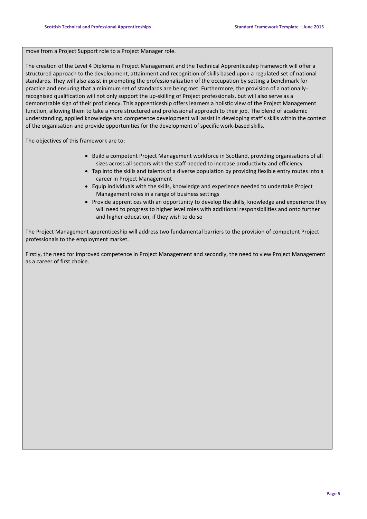#### move from a Project Support role to a Project Manager role.

The creation of the Level 4 Diploma in Project Management and the Technical Apprenticeship framework will offer a structured approach to the development, attainment and recognition of skills based upon a regulated set of national standards. They will also assist in promoting the professionalization of the occupation by setting a benchmark for practice and ensuring that a minimum set of standards are being met. Furthermore, the provision of a nationallyrecognised qualification will not only support the up-skilling of Project professionals, but will also serve as a demonstrable sign of their proficiency. This apprenticeship offers learners a holistic view of the Project Management function, allowing them to take a more structured and professional approach to their job. The blend of academic understanding, applied knowledge and competence development will assist in developing staff's skills within the context of the organisation and provide opportunities for the development of specific work-based skills.

The objectives of this framework are to:

- Build a competent Project Management workforce in Scotland, providing organisations of all sizes across all sectors with the staff needed to increase productivity and efficiency
- Tap into the skills and talents of a diverse population by providing flexible entry routes into a career in Project Management
- Equip individuals with the skills, knowledge and experience needed to undertake Project Management roles in a range of business settings
- Provide apprentices with an opportunity to develop the skills, knowledge and experience they will need to progress to higher level roles with additional responsibilities and onto further and higher education, if they wish to do so

The Project Management apprenticeship will address two fundamental barriers to the provision of competent Project professionals to the employment market.

Firstly, the need for improved competence in Project Management and secondly, the need to view Project Management as a career of first choice.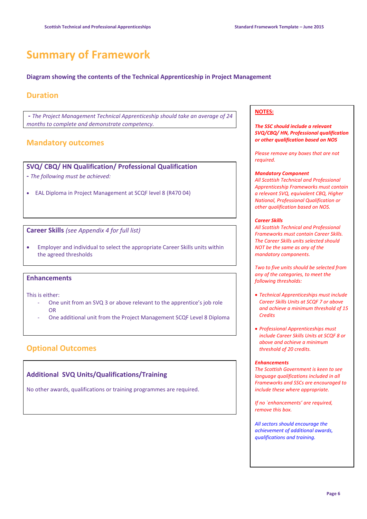## **Summary of Framework**

#### **Diagram showing the contents of the Technical Apprenticeship in Project Management**

#### **Duration**

**-** *The Project Management Technical Apprenticeship should take an average of 24 months to complete and demonstrate competency.* 

### **Mandatory outcomes**

### **SVQ/ CBQ/ HN Qualification/ Professional Qualification**

- **-** *The following must be achieved:*
- EAL Diploma in Project Management at SCQF level 8 (R470 04)

**Career Skills** *(see Appendix 4 for full list)*

 Employer and individual to select the appropriate Career Skills units within the agreed thresholds

#### **Enhancements**

This is either:

- One unit from an SVQ 3 or above relevant to the apprentice's job role OR
- One additional unit from the Project Management SCQF Level 8 Diploma

### **Optional Outcomes**

#### **Additional SVQ Units/Qualifications/Training**

No other awards, qualifications or training programmes are required.

#### **NOTES:**

#### *The SSC should include a relevant SVQ/CBQ/ HN, Professional qualification or other qualification based on NOS*

*Please remove any boxes that are not required.*

#### *Mandatory Component*

*All Scottish Technical and Professional Apprenticeship Frameworks must contain a relevant SVQ, equivalent CBQ, Higher National, Professional Qualification or other qualification based on NOS.*

#### *Career Skills*

*All Scottish Technical and Professional Frameworks must contain Career Skills. The Career Skills units selected should NOT be the same as any of the mandatory components.*

*Two to five units should be selected from any of the categories, to meet the following thresholds:*

- *Technical Apprenticeships must include Career Skills Units at SCQF 7 or above and achieve a minimum threshold of 15 Credits*
- *Professional Apprenticeships must include Career Skills Units at SCQF 8 or above and achieve a minimum threshold of 20 credits.*

#### *Enhancements*

*The Scottish Government is keen to see language qualifications included in all Frameworks and SSCs are encouraged to include these where appropriate.*

*If no `enhancements' are required, remove this box.*

*All sectors should encourage the achievement of additional awards, qualifications and training.*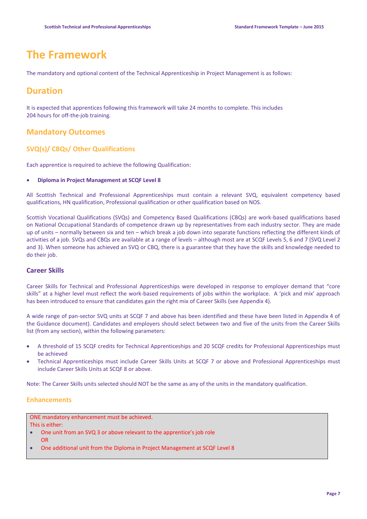## **The Framework**

The mandatory and optional content of the Technical Apprenticeship in Project Management is as follows:

### **Duration**

It is expected that apprentices following this framework will take 24 months to complete. This includes 204 hours for off-the-job training.

#### **Mandatory Outcomes**

#### **SVQ(s)/ CBQs/ Other Qualifications**

Each apprentice is required to achieve the following Qualification:

#### **Diploma in Project Management at SCQF Level 8**

All Scottish Technical and Professional Apprenticeships must contain a relevant SVQ, equivalent competency based qualifications, HN qualification, Professional qualification or other qualification based on NOS.

Scottish Vocational Qualifications (SVQs) and Competency Based Qualifications (CBQs) are work-based qualifications based on National Occupational Standards of competence drawn up by representatives from each industry sector. They are made up of units – normally between six and ten – which break a job down into separate functions reflecting the different kinds of activities of a job. SVQs and CBQs are available at a range of levels – although most are at SCQF Levels 5, 6 and 7 (SVQ Level 2 and 3). When someone has achieved an SVQ or CBQ, there is a guarantee that they have the skills and knowledge needed to do their job.

#### **Career Skills**

Career Skills for Technical and Professional Apprenticeships were developed in response to employer demand that "core skills" at a higher level must reflect the work-based requirements of jobs within the workplace. A 'pick and mix' approach has been introduced to ensure that candidates gain the right mix of Career Skills (see Appendix 4).

A wide range of pan-sector SVQ units at SCQF 7 and above has been identified and these have been listed in Appendix 4 of the Guidance document). Candidates and employers should select between two and five of the units from the Career Skills list (from any section), within the following parameters:

- A threshold of 15 SCQF credits for Technical Apprenticeships and 20 SCQF credits for Professional Apprenticeships must be achieved
- Technical Apprenticeships must include Career Skills Units at SCQF 7 or above and Professional Apprenticeships must include Career Skills Units at SCQF 8 or above.

Note: The Career Skills units selected should NOT be the same as any of the units in the mandatory qualification.

#### **Enhancements**

ONE mandatory enhancement must be achieved. This is either:

- One unit from an SVQ 3 or above relevant to the apprentice's job role OR
- One additional unit from the Diploma in Project Management at SCQF Level 8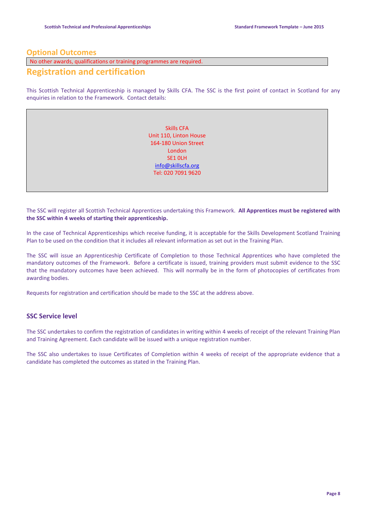#### **Optional Outcomes**

No other awards, qualifications or training programmes are required.

### **Registration and certification**

This Scottish Technical Apprenticeship is managed by Skills CFA. The SSC is the first point of contact in Scotland for any enquiries in relation to the Framework. Contact details:

> Skills CFA Unit 110, Linton House 164-180 Union Street London SE1 0LH [info@skillscfa.org](mailto:info@skillscfa.org) Tel: 020 7091 9620

The SSC will register all Scottish Technical Apprentices undertaking this Framework. **All Apprentices must be registered with the SSC within 4 weeks of starting their apprenticeship.**

In the case of Technical Apprenticeships which receive funding, it is acceptable for the Skills Development Scotland Training Plan to be used on the condition that it includes all relevant information as set out in the Training Plan.

The SSC will issue an Apprenticeship Certificate of Completion to those Technical Apprentices who have completed the mandatory outcomes of the Framework. Before a certificate is issued, training providers must submit evidence to the SSC that the mandatory outcomes have been achieved. This will normally be in the form of photocopies of certificates from awarding bodies.

Requests for registration and certification should be made to the SSC at the address above.

#### **SSC Service level**

The SSC undertakes to confirm the registration of candidates in writing within 4 weeks of receipt of the relevant Training Plan and Training Agreement. Each candidate will be issued with a unique registration number.

The SSC also undertakes to issue Certificates of Completion within 4 weeks of receipt of the appropriate evidence that a candidate has completed the outcomes as stated in the Training Plan.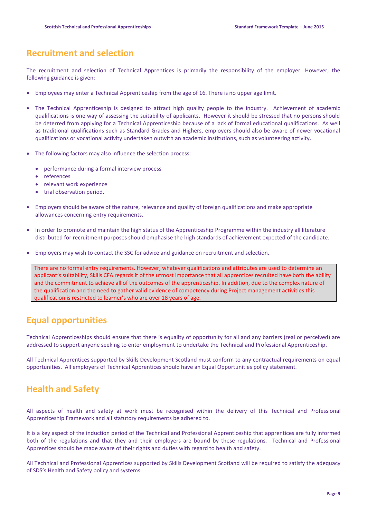## **Recruitment and selection**

The recruitment and selection of Technical Apprentices is primarily the responsibility of the employer. However, the following guidance is given:

- Employees may enter a Technical Apprenticeship from the age of 16. There is no upper age limit.
- The Technical Apprenticeship is designed to attract high quality people to the industry. Achievement of academic qualifications is one way of assessing the suitability of applicants. However it should be stressed that no persons should be deterred from applying for a Technical Apprenticeship because of a lack of formal educational qualifications. As well as traditional qualifications such as Standard Grades and Highers, employers should also be aware of newer vocational qualifications or vocational activity undertaken outwith an academic institutions, such as volunteering activity.
- The following factors may also influence the selection process:
	- performance during a formal interview process
	- references
	- relevant work experience
	- trial observation period.
- Employers should be aware of the nature, relevance and quality of foreign qualifications and make appropriate allowances concerning entry requirements.
- In order to promote and maintain the high status of the Apprenticeship Programme within the industry all literature distributed for recruitment purposes should emphasise the high standards of achievement expected of the candidate.
- Employers may wish to contact the SSC for advice and guidance on recruitment and selection.

There are no formal entry requirements. However, whatever qualifications and attributes are used to determine an applicant's suitability, Skills CFA regards it of the utmost importance that all apprentices recruited have both the ability and the commitment to achieve all of the outcomes of the apprenticeship. In addition, due to the complex nature of the qualification and the need to gather valid evidence of competency during Project management activities this qualification is restricted to learner's who are over 18 years of age.

## **Equal opportunities**

Technical Apprenticeships should ensure that there is equality of opportunity for all and any barriers (real or perceived) are addressed to support anyone seeking to enter employment to undertake the Technical and Professional Apprenticeship.

All Technical Apprentices supported by Skills Development Scotland must conform to any contractual requirements on equal opportunities. All employers of Technical Apprentices should have an Equal Opportunities policy statement.

## **Health and Safety**

All aspects of health and safety at work must be recognised within the delivery of this Technical and Professional Apprenticeship Framework and all statutory requirements be adhered to.

It is a key aspect of the induction period of the Technical and Professional Apprenticeship that apprentices are fully informed both of the regulations and that they and their employers are bound by these regulations. Technical and Professional Apprentices should be made aware of their rights and duties with regard to health and safety.

All Technical and Professional Apprentices supported by Skills Development Scotland will be required to satisfy the adequacy of SDS's Health and Safety policy and systems.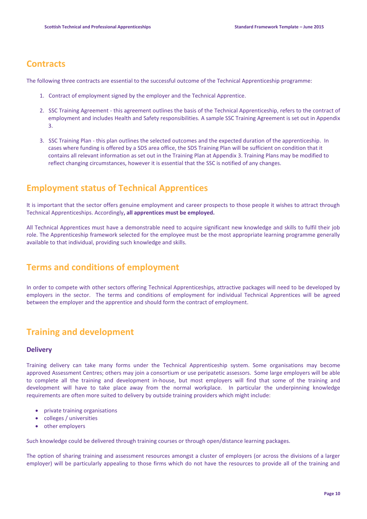## **Contracts**

The following three contracts are essential to the successful outcome of the Technical Apprenticeship programme:

- 1. Contract of employment signed by the employer and the Technical Apprentice.
- 2. SSC Training Agreement this agreement outlines the basis of the Technical Apprenticeship, refers to the contract of employment and includes Health and Safety responsibilities. A sample SSC Training Agreement is set out in Appendix 3.
- 3. SSC Training Plan this plan outlines the selected outcomes and the expected duration of the apprenticeship. In cases where funding is offered by a SDS area office, the SDS Training Plan will be sufficient on condition that it contains all relevant information as set out in the Training Plan at Appendix 3. Training Plans may be modified to reflect changing circumstances, however it is essential that the SSC is notified of any changes.

## **Employment status of Technical Apprentices**

It is important that the sector offers genuine employment and career prospects to those people it wishes to attract through Technical Apprenticeships. Accordingly**, all apprentices must be employed.**

All Technical Apprentices must have a demonstrable need to acquire significant new knowledge and skills to fulfil their job role. The Apprenticeship framework selected for the employee must be the most appropriate learning programme generally available to that individual, providing such knowledge and skills.

## **Terms and conditions of employment**

In order to compete with other sectors offering Technical Apprenticeships, attractive packages will need to be developed by employers in the sector. The terms and conditions of employment for individual Technical Apprentices will be agreed between the employer and the apprentice and should form the contract of employment.

## **Training and development**

#### **Delivery**

Training delivery can take many forms under the Technical Apprenticeship system. Some organisations may become approved Assessment Centres; others may join a consortium or use peripatetic assessors. Some large employers will be able to complete all the training and development in-house, but most employers will find that some of the training and development will have to take place away from the normal workplace. In particular the underpinning knowledge requirements are often more suited to delivery by outside training providers which might include:

- private training organisations
- colleges / universities
- other employers

Such knowledge could be delivered through training courses or through open/distance learning packages.

The option of sharing training and assessment resources amongst a cluster of employers (or across the divisions of a larger employer) will be particularly appealing to those firms which do not have the resources to provide all of the training and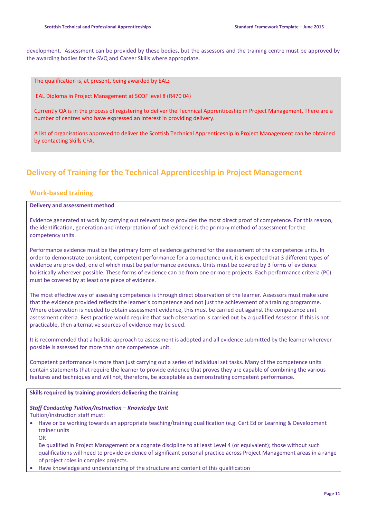development. Assessment can be provided by these bodies, but the assessors and the training centre must be approved by the awarding bodies for the SVQ and Career Skills where appropriate.

The qualification is, at present, being awarded by EAL:

EAL Diploma in Project Management at SCQF level 8 (R470 04)

Currently QA is in the process of registering to deliver the Technical Apprenticeship in Project Management. There are a number of centres who have expressed an interest in providing delivery.

A list of organisations approved to deliver the Scottish Technical Apprenticeship in Project Management can be obtained by contacting Skills CFA.

## **Delivery of Training for the Technical Apprenticeship in Project Management**

#### **Work-based training**

#### **Delivery and assessment method**

Evidence generated at work by carrying out relevant tasks provides the most direct proof of competence. For this reason, the identification, generation and interpretation of such evidence is the primary method of assessment for the competency units.

Performance evidence must be the primary form of evidence gathered for the assessment of the competence units. In order to demonstrate consistent, competent performance for a competence unit, it is expected that 3 different types of evidence are provided, one of which must be performance evidence. Units must be covered by 3 forms of evidence holistically wherever possible. These forms of evidence can be from one or more projects. Each performance criteria (PC) must be covered by at least one piece of evidence.

The most effective way of assessing competence is through direct observation of the learner. Assessors must make sure that the evidence provided reflects the learner's competence and not just the achievement of a training programme. Where observation is needed to obtain assessment evidence, this must be carried out against the competence unit assessment criteria. Best practice would require that such observation is carried out by a qualified Assessor. If this is not practicable, then alternative sources of evidence may be sued.

It is recommended that a holistic approach to assessment is adopted and all evidence submitted by the learner wherever possible is assessed for more than one competence unit.

Competent performance is more than just carrying out a series of individual set tasks. Many of the competence units contain statements that require the learner to provide evidence that proves they are capable of combining the various features and techniques and will not, therefore, be acceptable as demonstrating competent performance.

#### **Skills required by training providers delivering the training**

#### *Staff Conducting Tuition/Instruction – Knowledge Unit*

Tuition/instruction staff must:

- Have or be working towards an appropriate teaching/training qualification (e.g. Cert Ed or Learning & Development trainer units
	- OR

Be qualified in Project Management or a cognate discipline to at least Level 4 (or equivalent); those without such qualifications will need to provide evidence of significant personal practice across Project Management areas in a range of project roles in complex projects.

Have knowledge and understanding of the structure and content of this qualification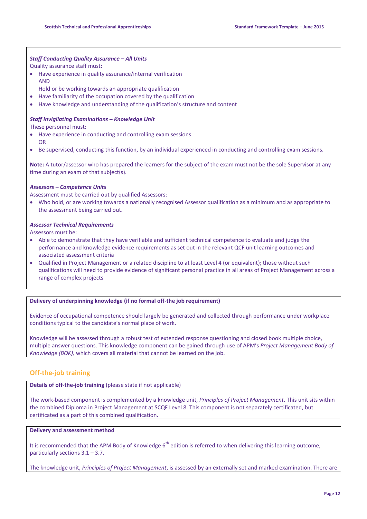#### *Staff Conducting Quality Assurance – All Units*

Quality assurance staff must:

- Have experience in quality assurance/internal verification AND
- Hold or be working towards an appropriate qualification
- Have familiarity of the occupation covered by the qualification
- Have knowledge and understanding of the qualification's structure and content

#### *Staff Invigilating Examinations – Knowledge Unit*

These personnel must:

- Have experience in conducting and controlling exam sessions OR
- Be supervised, conducting this function, by an individual experienced in conducting and controlling exam sessions.

**Note:** A tutor/assessor who has prepared the learners for the subject of the exam must not be the sole Supervisor at any time during an exam of that subject(s).

#### *Assessors – Competence Units*

Assessment must be carried out by qualified Assessors:

 Who hold, or are working towards a nationally recognised Assessor qualification as a minimum and as appropriate to the assessment being carried out.

#### *Assessor Technical Requirements*

Assessors must be:

- Able to demonstrate that they have verifiable and sufficient technical competence to evaluate and judge the performance and knowledge evidence requirements as set out in the relevant QCF unit learning outcomes and associated assessment criteria
- Qualified in Project Management or a related discipline to at least Level 4 (or equivalent); those without such qualifications will need to provide evidence of significant personal practice in all areas of Project Management across a range of complex projects

#### **Delivery of underpinning knowledge (if no formal off-the job requirement)**

Evidence of occupational competence should largely be generated and collected through performance under workplace conditions typical to the candidate's normal place of work.

Knowledge will be assessed through a robust test of extended response questioning and closed book multiple choice, multiple answer questions. This knowledge component can be gained through use of APM's *Project Management Body of Knowledge (BOK),* which covers all material that cannot be learned on the job.

#### **Off-the-job training**

**Details of off-the-job training** (please state if not applicable)

The work-based component is complemented by a knowledge unit, *Principles of Project Management*. This unit sits within the combined Diploma in Project Management at SCQF Level 8. This component is not separately certificated, but certificated as a part of this combined qualification.

#### **Delivery and assessment method**

It is recommended that the APM Body of Knowledge  $6<sup>th</sup>$  edition is referred to when delivering this learning outcome, particularly sections 3.1 – 3.7.

The knowledge unit, *Principles of Project Management*, is assessed by an externally set and marked examination. There are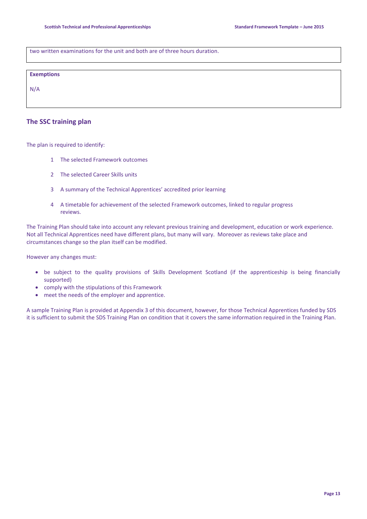two written examinations for the unit and both are of three hours duration.

#### **Exemptions**

N/A

#### **The SSC training plan**

The plan is required to identify:

- 1 The selected Framework outcomes
- 2 The selected Career Skills units
- 3 A summary of the Technical Apprentices' accredited prior learning
- 4 A timetable for achievement of the selected Framework outcomes, linked to regular progress reviews.

The Training Plan should take into account any relevant previous training and development, education or work experience. Not all Technical Apprentices need have different plans, but many will vary. Moreover as reviews take place and circumstances change so the plan itself can be modified.

However any changes must:

- be subject to the quality provisions of Skills Development Scotland (if the apprenticeship is being financially supported)
- comply with the stipulations of this Framework
- meet the needs of the employer and apprentice.

A sample Training Plan is provided at Appendix 3 of this document, however, for those Technical Apprentices funded by SDS it is sufficient to submit the SDS Training Plan on condition that it covers the same information required in the Training Plan.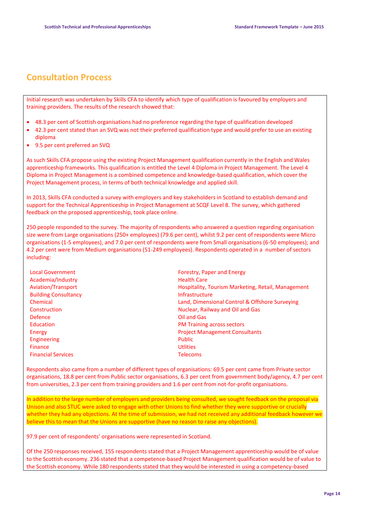## **Consultation Process**

Initial research was undertaken by Skills CFA to identify which type of qualification is favoured by employers and training providers. The results of the research showed that:

- 48.3 per cent of Scottish organisations had no preference regarding the type of qualification developed
- 42.3 per cent stated than an SVQ was not their preferred qualification type and would prefer to use an existing diploma
- 9.5 per cent preferred an SVQ

As such Skills CFA propose using the existing Project Management qualification currently in the English and Wales apprenticeship frameworks. This qualification is entitled the Level 4 Diploma in Project Management. The Level 4 Diploma in Project Management is a combined competence and knowledge-based qualification, which cover the Project Management process, in terms of both technical knowledge and applied skill.

In 2013, Skills CFA conducted a survey with employers and key stakeholders in Scotland to establish demand and support for the Technical Apprenticeship in Project Management at SCQF Level 8. The survey, which gathered feedback on the proposed apprenticeship, took place online.

250 people responded to the survey. The majority of respondents who answered a question regarding organisation size were from Large organisations (250+ employees) (79.6 per cent), whilst 9.2 per cent of respondents were Micro organisations (1-5 employees), and 7.0 per cent of respondents were from Small organisations (6-50 employees); and 4.2 per cent were from Medium organisations (51-249 employees). Respondents operated in a number of sectors including:

| <b>Local Government</b>     | Forestr         |
|-----------------------------|-----------------|
| Academia/Industry           | <b>Health</b>   |
| Aviation/Transport          | Hospita         |
| <b>Building Consultancy</b> | Infrasti        |
| Chemical                    | Land, D         |
| Construction                | <b>Nuclea</b>   |
| <b>Defence</b>              | Oil and         |
| Education                   | <b>PM Tra</b>   |
| Energy                      | Project         |
| <b>Engineering</b>          | Public          |
| <b>Finance</b>              | <b>Utlities</b> |
| <b>Financial Services</b>   | <b>Telecor</b>  |
|                             |                 |

Forestry, Paper and Energy **Health Care** Hospitality, Tourism Marketing, Retail, Management Infrastructure Land, Dimensional Control & Offshore Surveying Nuclear, Railway and Oil and Gas **Oil and Gas** PM Training across sectors **Project Management Consultants Telecoms** 

Respondents also came from a number of different types of organisations: 69.5 per cent came from Private sector organisations, 18.8 per cent from Public sector organisations, 6.3 per cent from government body/agency, 4.7 per cent from universities, 2.3 per cent from training providers and 1.6 per cent from not-for-profit organisations.

In addition to the large number of employers and providers being consulted, we sought feedback on the proposal via Unison and also STUC were asked to engage with other Unions to find whether they were supportive or crucially whether they had any objections. At the time of submission, we had not received any additional feedback however we believe this to mean that the Unions are supportive (have no reason to raise any objections).

97.9 per cent of respondents' organisations were represented in Scotland.

Of the 250 responses received, 155 respondents stated that a Project Management apprenticeship would be of value to the Scottish economy. 236 stated that a competence-based Project Management qualification would be of value to the Scottish economy. While 180 respondents stated that they would be interested in using a competency-based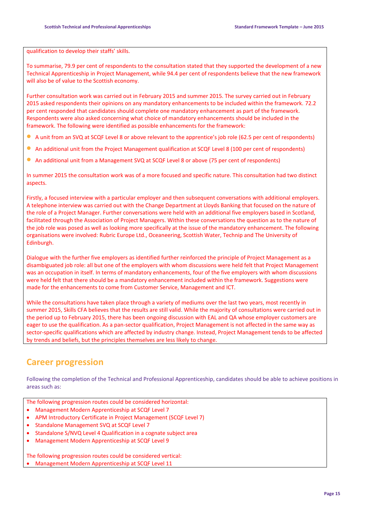qualification to develop their staffs' skills.

To summarise, 79.9 per cent of respondents to the consultation stated that they supported the development of a new Technical Apprenticeship in Project Management, while 94.4 per cent of respondents believe that the new framework will also be of value to the Scottish economy.

Further consultation work was carried out in February 2015 and summer 2015. The survey carried out in February 2015 asked respondents their opinions on any mandatory enhancements to be included within the framework. 72.2 per cent responded that candidates should complete one mandatory enhancement as part of the framework. Respondents were also asked concerning what choice of mandatory enhancements should be included in the framework. The following were identified as possible enhancements for the framework:

- A unit from an SVQ at SCQF Level 8 or above relevant to the apprentice's job role (62.5 per cent of respondents)
- An additional unit from the Project Management qualification at SCQF Level 8 (100 per cent of respondents)
- An additional unit from a Management SVQ at SCQF Level 8 or above (75 per cent of respondents)

In summer 2015 the consultation work was of a more focused and specific nature. This consultation had two distinct aspects.

Firstly, a focused interview with a particular employer and then subsequent conversations with additional employers. A telephone interview was carried out with the Change Department at Lloyds Banking that focused on the nature of the role of a Project Manager. Further conversations were held with an additional five employers based in Scotland, facilitated through the Association of Project Managers. Within these conversations the question as to the nature of the job role was posed as well as looking more specifically at the issue of the mandatory enhancement. The following organisations were involved: Rubric Europe Ltd., Oceaneering, Scottish Water, Technip and The University of Edinburgh.

Dialogue with the further five employers as identified further reinforced the principle of Project Management as a disambiguated job role: all but one of the employers with whom discussions were held felt that Project Management was an occupation in itself. In terms of mandatory enhancements, four of the five employers with whom discussions were held felt that there should be a mandatory enhancement included within the framework. Suggestions were made for the enhancements to come from Customer Service, Management and ICT.

While the consultations have taken place through a variety of mediums over the last two years, most recently in summer 2015, Skills CFA believes that the results are still valid. While the majority of consultations were carried out in the period up to February 2015, there has been ongoing discussion with EAL and QA whose employer customers are eager to use the qualification. As a pan-sector qualification, Project Management is not affected in the same way as sector-specific qualifications which are affected by industry change. Instead, Project Management tends to be affected by trends and beliefs, but the principles themselves are less likely to change.

## **Career progression**

Following the completion of the Technical and Professional Apprenticeship, candidates should be able to achieve positions in areas such as:

The following progression routes could be considered horizontal:

- Management Modern Apprenticeship at SCQF Level 7
- APM Introductory Certificate in Project Management (SCQF Level 7)
- Standalone Management SVQ at SCQF Level 7
- Standalone S/NVQ Level 4 Qualification in a cognate subject area
- Management Modern Apprenticeship at SCQF Level 9

The following progression routes could be considered vertical: Management Modern Apprenticeship at SCQF Level 11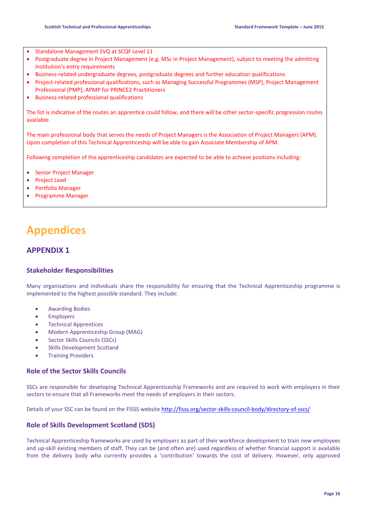- Standalone Management SVQ at SCQF Level 11
- Postgraduate degree in Project Management (e.g. MSc in Project Management), subject to meeting the admitting institution's entry requirements
- Business-related undergraduate degrees, postgraduate degrees and further education qualifications
- Project-related professional qualifications, such as Managing Successful Programmes (MSP), Project Management Professional (PMP), APMP for PRINCE2 Practitioners
- Business-related professional qualifications

The list is indicative of the routes an apprentice could follow, and there will be other sector-specific progression routes available.

The main professional body that serves the needs of Project Managers is the Association of Project Managers (APM). Upon completion of this Technical Apprenticeship will be able to gain Associate Membership of APM.

Following completion of the apprenticeship candidates are expected to be able to achieve positions including:

- Senior Project Manager
- Project Lead
- Portfolio Manager
- Programme Manager

## **Appendices**

#### **APPENDIX 1**

#### **Stakeholder Responsibilities**

Many organisations and individuals share the responsibility for ensuring that the Technical Apprenticeship programme is implemented to the highest possible standard. They include:

- Awarding Bodies
- Employers
- **•** Technical Apprentices
- Modern Apprenticeship Group (MAG)
- Sector Skills Councils (SSCs)
- Skills Development Scotland
- Training Providers

#### **Role of the Sector Skills Councils**

SSCs are responsible for developing Technical Apprenticeship Frameworks and are required to work with employers in their sectors to ensure that all Frameworks meet the needs of employers in their sectors.

Details of your SSC can be found on the FISSS website <http://fisss.org/sector-skills-council-body/directory-of-sscs/>

#### **Role of Skills Development Scotland (SDS)**

Technical Apprenticeship frameworks are used by employers as part of their workforce development to train new employees and up-skill existing members of staff. They can be (and often are) used regardless of whether financial support is available from the delivery body who currently provides a 'contribution' towards the cost of delivery. However, only approved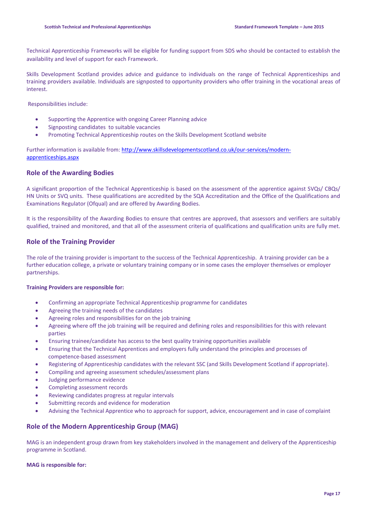Technical Apprenticeship Frameworks will be eligible for funding support from SDS who should be contacted to establish the availability and level of support for each Framework.

Skills Development Scotland provides advice and guidance to individuals on the range of Technical Apprenticeships and training providers available. Individuals are signposted to opportunity providers who offer training in the vocational areas of interest.

Responsibilities include:

- Supporting the Apprentice with ongoing Career Planning advice
- Signposting candidates to suitable vacancies
- Promoting Technical Apprenticeship routes on the Skills Development Scotland website

Further information is available from[: http://www.skillsdevelopmentscotland.co.uk/our-services/modern](http://www.skillsdevelopmentscotland.co.uk/our-services/modern-apprenticeships.aspx)[apprenticeships.aspx](http://www.skillsdevelopmentscotland.co.uk/our-services/modern-apprenticeships.aspx)

#### **Role of the Awarding Bodies**

A significant proportion of the Technical Apprenticeship is based on the assessment of the apprentice against SVQs/ CBQs/ HN Units or SVQ units. These qualifications are accredited by the SQA Accreditation and the Office of the Qualifications and Examinations Regulator (Ofqual) and are offered by Awarding Bodies.

It is the responsibility of the Awarding Bodies to ensure that centres are approved, that assessors and verifiers are suitably qualified, trained and monitored, and that all of the assessment criteria of qualifications and qualification units are fully met.

#### **Role of the Training Provider**

The role of the training provider is important to the success of the Technical Apprenticeship. A training provider can be a further education college, a private or voluntary training company or in some cases the employer themselves or employer partnerships.

#### **Training Providers are responsible for:**

- Confirming an appropriate Technical Apprenticeship programme for candidates
- Agreeing the training needs of the candidates
- Agreeing roles and responsibilities for on the job training
- Agreeing where off the job training will be required and defining roles and responsibilities for this with relevant parties
- Ensuring trainee/candidate has access to the best quality training opportunities available
- Ensuring that the Technical Apprentices and employers fully understand the principles and processes of competence-based assessment
- Registering of Apprenticeship candidates with the relevant SSC (and Skills Development Scotland if appropriate).
- Compiling and agreeing assessment schedules/assessment plans
- Judging performance evidence
- Completing assessment records
- Reviewing candidates progress at regular intervals
- Submitting records and evidence for moderation
- Advising the Technical Apprentice who to approach for support, advice, encouragement and in case of complaint

#### **Role of the Modern Apprenticeship Group (MAG)**

MAG is an independent group drawn from key stakeholders involved in the management and delivery of the Apprenticeship programme in Scotland.

#### **MAG is responsible for:**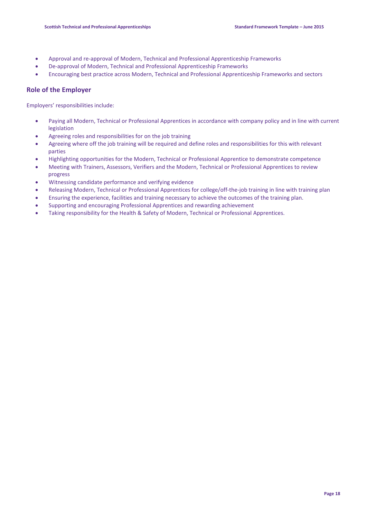- Approval and re-approval of Modern, Technical and Professional Apprenticeship Frameworks
- De-approval of Modern, Technical and Professional Apprenticeship Frameworks
- Encouraging best practice across Modern, Technical and Professional Apprenticeship Frameworks and sectors

#### **Role of the Employer**

Employers' responsibilities include:

- Paying all Modern, Technical or Professional Apprentices in accordance with company policy and in line with current legislation
- Agreeing roles and responsibilities for on the job training
- Agreeing where off the job training will be required and define roles and responsibilities for this with relevant parties
- Highlighting opportunities for the Modern, Technical or Professional Apprentice to demonstrate competence
- Meeting with Trainers, Assessors, Verifiers and the Modern, Technical or Professional Apprentices to review progress
- Witnessing candidate performance and verifying evidence
- Releasing Modern, Technical or Professional Apprentices for college/off-the-job training in line with training plan
- Ensuring the experience, facilities and training necessary to achieve the outcomes of the training plan.
- Supporting and encouraging Professional Apprentices and rewarding achievement
- Taking responsibility for the Health & Safety of Modern, Technical or Professional Apprentices.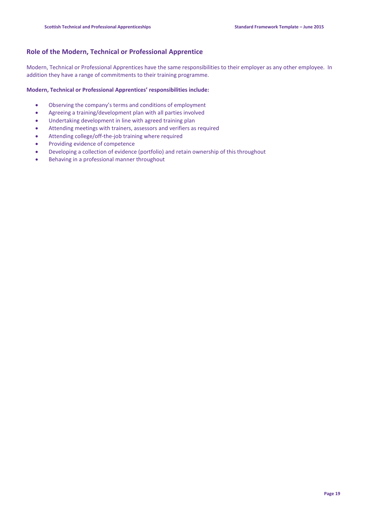#### **Role of the Modern, Technical or Professional Apprentice**

Modern, Technical or Professional Apprentices have the same responsibilities to their employer as any other employee. In addition they have a range of commitments to their training programme.

#### **Modern, Technical or Professional Apprentices' responsibilities include:**

- Observing the company's terms and conditions of employment
- Agreeing a training/development plan with all parties involved
- Undertaking development in line with agreed training plan
- Attending meetings with trainers, assessors and verifiers as required
- Attending college/off-the-job training where required
- Providing evidence of competence
- Developing a collection of evidence (portfolio) and retain ownership of this throughout
- Behaving in a professional manner throughout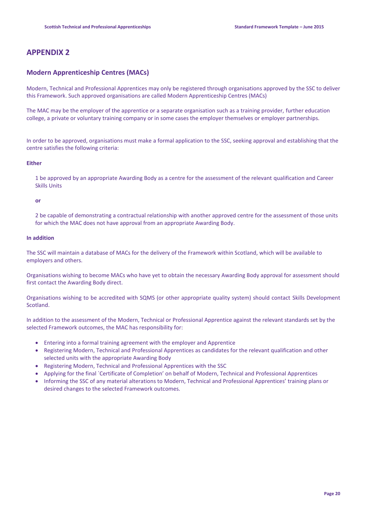### **APPENDIX 2**

#### **Modern Apprenticeship Centres (MACs)**

Modern, Technical and Professional Apprentices may only be registered through organisations approved by the SSC to deliver this Framework. Such approved organisations are called Modern Apprenticeship Centres (MACs)

The MAC may be the employer of the apprentice or a separate organisation such as a training provider, further education college, a private or voluntary training company or in some cases the employer themselves or employer partnerships.

In order to be approved, organisations must make a formal application to the SSC, seeking approval and establishing that the centre satisfies the following criteria:

#### **Either**

1 be approved by an appropriate Awarding Body as a centre for the assessment of the relevant qualification and Career Skills Units

#### **or**

2 be capable of demonstrating a contractual relationship with another approved centre for the assessment of those units for which the MAC does not have approval from an appropriate Awarding Body.

#### **In addition**

The SSC will maintain a database of MACs for the delivery of the Framework within Scotland, which will be available to employers and others.

Organisations wishing to become MACs who have yet to obtain the necessary Awarding Body approval for assessment should first contact the Awarding Body direct.

Organisations wishing to be accredited with SQMS (or other appropriate quality system) should contact Skills Development Scotland.

In addition to the assessment of the Modern, Technical or Professional Apprentice against the relevant standards set by the selected Framework outcomes, the MAC has responsibility for:

- Entering into a formal training agreement with the employer and Apprentice
- Registering Modern, Technical and Professional Apprentices as candidates for the relevant qualification and other selected units with the appropriate Awarding Body
- Registering Modern, Technical and Professional Apprentices with the SSC
- Applying for the final `Certificate of Completion' on behalf of Modern, Technical and Professional Apprentices
- Informing the SSC of any material alterations to Modern, Technical and Professional Apprentices' training plans or desired changes to the selected Framework outcomes.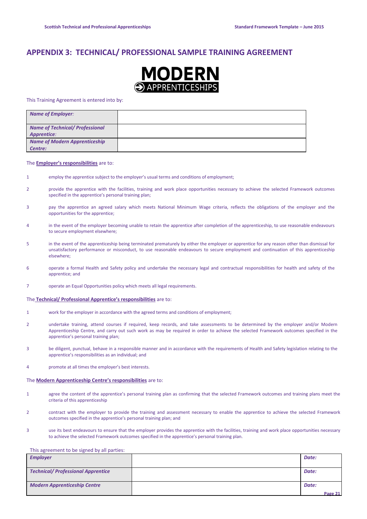### **APPENDIX 3: TECHNICAL/ PROFESSIONAL SAMPLE TRAINING AGREEMENT**



This Training Agreement is entered into by:

| <b>Name of Employer:</b>               |  |
|----------------------------------------|--|
| <b>Name of Technical/ Professional</b> |  |
| <b>Apprentice:</b>                     |  |
| <b>Name of Modern Apprenticeship</b>   |  |
| Centre:                                |  |

#### The **Employer's responsibilities** are to:

- 1 employ the apprentice subject to the employer's usual terms and conditions of employment;
- 2 provide the apprentice with the facilities, training and work place opportunities necessary to achieve the selected Framework outcomes specified in the apprentice's personal training plan;
- 3 pay the apprentice an agreed salary which meets National Minimum Wage criteria, reflects the obligations of the employer and the opportunities for the apprentice;
- 4 in the event of the employer becoming unable to retain the apprentice after completion of the apprenticeship, to use reasonable endeavours to secure employment elsewhere;
- 5 in the event of the apprenticeship being terminated prematurely by either the employer or apprentice for any reason other than dismissal for unsatisfactory performance or misconduct, to use reasonable endeavours to secure employment and continuation of this apprenticeship elsewhere;
- 6 operate a formal Health and Safety policy and undertake the necessary legal and contractual responsibilities for health and safety of the apprentice; and
- 7 operate an Equal Opportunities policy which meets all legal requirements.

#### The **Technical/ Professional Apprentice's responsibilities** are to:

- 1 work for the employer in accordance with the agreed terms and conditions of employment;
- 2 undertake training, attend courses if required, keep records, and take assessments to be determined by the employer and/or Modern Apprenticeship Centre, and carry out such work as may be required in order to achieve the selected Framework outcomes specified in the apprentice's personal training plan;
- 3 be diligent, punctual, behave in a responsible manner and in accordance with the requirements of Health and Safety legislation relating to the apprentice's responsibilities as an individual; and
- 4 promote at all times the employer's best interests.

#### The **Modern Apprenticeship Centre's responsibilities** are to:

- 1 agree the content of the apprentice's personal training plan as confirming that the selected Framework outcomes and training plans meet the criteria of this apprenticeship
- 2 contract with the employer to provide the training and assessment necessary to enable the apprentice to achieve the selected Framework outcomes specified in the apprentice's personal training plan; and
- 3 use its best endeavours to ensure that the employer provides the apprentice with the facilities, training and work place opportunities necessary to achieve the selected Framework outcomes specified in the apprentice's personal training plan.

#### This agreement to be signed by all parties:

| <b>Employer</b>                           | Date:   |
|-------------------------------------------|---------|
|                                           |         |
| <b>Technical/ Professional Apprentice</b> | Date:   |
| <b>Modern Apprenticeship Centre</b>       | Date:   |
|                                           | Page 21 |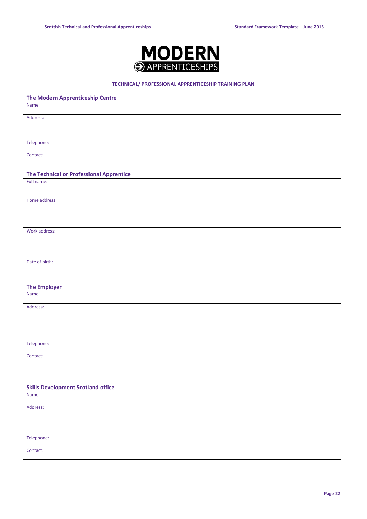

#### **TECHNICAL/ PROFESSIONAL APPRENTICESHIP TRAINING PLAN**

#### **The Modern Apprenticeship Centre**

| Name:      |  |
|------------|--|
| Address:   |  |
|            |  |
| Telephone: |  |
| Contact:   |  |

#### **The Technical or Professional Apprentice**

| Full name:     |  |
|----------------|--|
|                |  |
| Home address:  |  |
|                |  |
|                |  |
|                |  |
| Work address:  |  |
|                |  |
|                |  |
|                |  |
| Date of birth: |  |
|                |  |

#### **The Employer**

| Name:      |  |
|------------|--|
| Address:   |  |
|            |  |
|            |  |
|            |  |
| Telephone: |  |
| Contact:   |  |

#### **Skills Development Scotland office**

| Name:      |  |
|------------|--|
| Address:   |  |
|            |  |
|            |  |
| Telephone: |  |
| Contact:   |  |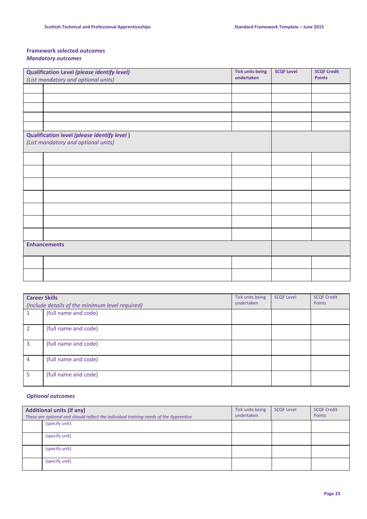#### **Framework selected outcomes** *Mandatory outcomes*

| Qualification Level (please identify level)                                        | <b>Tick units being</b> | <b>SCQF Level</b> | <b>SCQF Credit</b> |
|------------------------------------------------------------------------------------|-------------------------|-------------------|--------------------|
| (List mandatory and optional units)                                                | undertaken              |                   | <b>Points</b>      |
|                                                                                    |                         |                   |                    |
|                                                                                    |                         |                   |                    |
|                                                                                    |                         |                   |                    |
|                                                                                    |                         |                   |                    |
|                                                                                    |                         |                   |                    |
| Qualification level (please identify level)<br>(List mandatory and optional units) |                         |                   |                    |
|                                                                                    |                         |                   |                    |
|                                                                                    |                         |                   |                    |
|                                                                                    |                         |                   |                    |
|                                                                                    |                         |                   |                    |
|                                                                                    |                         |                   |                    |
|                                                                                    |                         |                   |                    |
|                                                                                    |                         |                   |                    |
| <b>Enhancements</b>                                                                |                         |                   |                    |
|                                                                                    |                         |                   |                    |
|                                                                                    |                         |                   |                    |

| <b>Career Skills</b> | (Include details of the minimum level required) | Tick units being<br>undertaken | <b>SCQF Level</b> | <b>SCQF Credit</b><br>Points |
|----------------------|-------------------------------------------------|--------------------------------|-------------------|------------------------------|
|                      | (full name and code)                            |                                |                   |                              |
| $\mathcal{P}$        | (full name and code)                            |                                |                   |                              |
| 3                    | (full name and code)                            |                                |                   |                              |
| $\overline{4}$       | (full name and code)                            |                                |                   |                              |
| 5.                   | (full name and code)                            |                                |                   |                              |

#### *Optional outcomes*

| <b>Additional units (if any)</b><br>These are optional and should reflect the individual training needs of the Apprentice | Tick units being<br>undertaken | <b>SCQF Level</b> | <b>SCQF Credit</b><br>Points |
|---------------------------------------------------------------------------------------------------------------------------|--------------------------------|-------------------|------------------------------|
| (specify unit)                                                                                                            |                                |                   |                              |
| (specify unit)                                                                                                            |                                |                   |                              |
| (specify unit)                                                                                                            |                                |                   |                              |
| (specify unit)                                                                                                            |                                |                   |                              |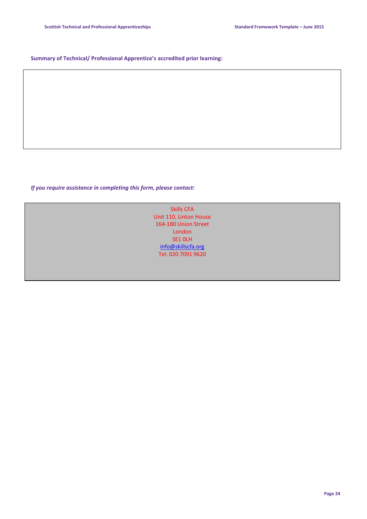#### **Summary of Technical/ Professional Apprentice's accredited prior learning:**

*If you require assistance in completing this form, please contact:*

Skills CFA Unit 110, Linton House 164-180 Union Street London SE1 0LH [info@skillscfa.org](mailto:info@skillscfa.org) Tel: 020 7091 9620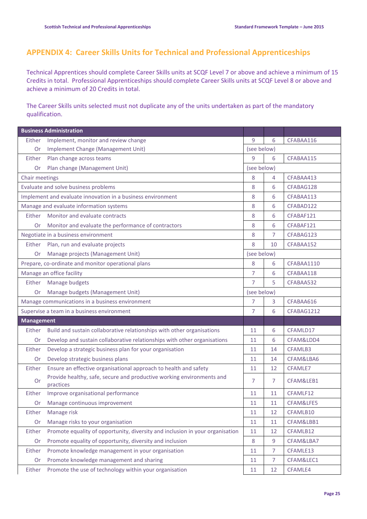## **APPENDIX 4: Career Skills Units for Technical and Professional Apprenticeships**

Technical Apprentices should complete Career Skills units at SCQF Level 7 or above and achieve a minimum of 15 Credits in total. Professional Apprenticeships should complete Career Skills units at SCQF Level 8 or above and achieve a minimum of 20 Credits in total.

The Career Skills units selected must not duplicate any of the units undertaken as part of the mandatory qualification.

|                                                             | <b>Business Administration</b>                                                     |                |                |            |
|-------------------------------------------------------------|------------------------------------------------------------------------------------|----------------|----------------|------------|
| Either                                                      | Implement, monitor and review change                                               | 9              | 6              | CFABAA116  |
| Or                                                          | Implement Change (Management Unit)                                                 | (see below)    |                |            |
| Either                                                      | Plan change across teams                                                           | 9              | 6              | CFABAA115  |
| Plan change (Management Unit)<br>Or                         |                                                                                    | (see below)    |                |            |
| Chair meetings                                              |                                                                                    | 8              | 4              | CFABAA413  |
|                                                             | Evaluate and solve business problems                                               | 8              | 6              | CFABAG128  |
| Implement and evaluate innovation in a business environment |                                                                                    | 8              | 6              | CFABAA113  |
| Manage and evaluate information systems                     |                                                                                    | 8              | 6              | CFABAD122  |
| Either                                                      | Monitor and evaluate contracts                                                     | 8              | 6              | CFABAF121  |
| Or                                                          | Monitor and evaluate the performance of contractors                                | 8              | 6              | CFABAF121  |
|                                                             | Negotiate in a business environment                                                | 8              | 7              | CFABAG123  |
| Either                                                      | Plan, run and evaluate projects                                                    | 8              | 10             | CFABAA152  |
| Or                                                          | Manage projects (Management Unit)                                                  | (see below)    |                |            |
|                                                             | Prepare, co-ordinate and monitor operational plans                                 | 8              | 6              | CFABAA1110 |
| Manage an office facility                                   |                                                                                    | $\overline{7}$ | 6              | CFABAA118  |
| Either                                                      | Manage budgets                                                                     | $\overline{7}$ | 5              | CFABAA532  |
| Or                                                          | Manage budgets (Management Unit)                                                   | (see below)    |                |            |
|                                                             | Manage communications in a business environment                                    | $\overline{7}$ | 3              | CFABAA616  |
|                                                             | Supervise a team in a business environment                                         | 7              | 6              | CFABAG1212 |
| <b>Management</b>                                           |                                                                                    |                |                |            |
| Either                                                      | Build and sustain collaborative relationships with other organisations             | 11             | 6              | CFAMLD17   |
| Or                                                          | Develop and sustain collaborative relationships with other organisations           | 11             | 6              | CFAM&LDD4  |
| Either                                                      | Develop a strategic business plan for your organisation                            | 11             | 14             | CFAMLB3    |
| Or                                                          | Develop strategic business plans                                                   | 11             | 14             | CFAM&LBA6  |
| Either                                                      | Ensure an effective organisational approach to health and safety                   | 11             | 12             | CFAMLE7    |
| <b>Or</b>                                                   | Provide healthy, safe, secure and productive working environments and<br>practices | 7              | 7              | CFAM&LEB1  |
| Either                                                      | Improve organisational performance                                                 | 11             | 11             | CFAMLF12   |
| Or                                                          | Manage continuous improvement                                                      | 11             | 11             | CFAM&LFE5  |
| Either                                                      | Manage risk                                                                        | 11             | 12             | CFAMLB10   |
| Or                                                          | Manage risks to your organisation                                                  | 11             | 11             | CFAM&LBB1  |
| Either                                                      | Promote equality of opportunity, diversity and inclusion in your organisation      | 11             | 12             | CFAMLB12   |
| Or                                                          | Promote equality of opportunity, diversity and inclusion                           | $\,8\,$        | 9              | CFAM&LBA7  |
| Either                                                      | Promote knowledge management in your organisation                                  | 11             | $\overline{7}$ | CFAMLE13   |
| Or                                                          | Promote knowledge management and sharing                                           | 11             | $\overline{7}$ | CFAM&LEC1  |
| Either                                                      | Promote the use of technology within your organisation                             | 11             | 12             | CFAMLE4    |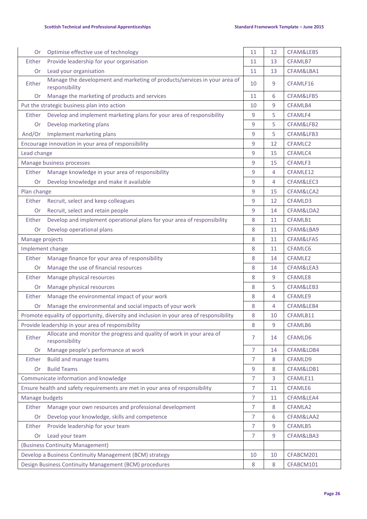| Or                                                                           | Optimise effective use of technology                                                        | 11             | 12 | CFAM&LEB5           |
|------------------------------------------------------------------------------|---------------------------------------------------------------------------------------------|----------------|----|---------------------|
| Either                                                                       | Provide leadership for your organisation                                                    | 11             | 13 | CFAMLB7             |
| <b>Or</b>                                                                    | Lead your organisation                                                                      | 11             | 13 | CFAM&LBA1           |
| Either                                                                       | Manage the development and marketing of products/services in your area of<br>responsibility | 10             | 9  | CFAMLF16            |
| Or                                                                           | Manage the marketing of products and services                                               | 11             | 6  | CFAM&LFB5           |
|                                                                              | Put the strategic business plan into action                                                 | 10             | 9  | CFAMLB4             |
| Either                                                                       | Develop and implement marketing plans for your area of responsibility                       | 9              | 5  | CFAMLF4             |
| Or                                                                           | Develop marketing plans                                                                     | 9              | 5  | CFAM&LFB2           |
| And/Or                                                                       | Implement marketing plans                                                                   | 9              | 5  | CFAM&LFB3           |
|                                                                              | Encourage innovation in your area of responsibility                                         | 9              | 12 | CFAMLC2             |
| Lead change                                                                  |                                                                                             | 9              | 15 | CFAMLC4             |
|                                                                              | Manage business processes                                                                   | 9              | 15 | CFAMLF3             |
| Either                                                                       | Manage knowledge in your area of responsibility                                             | 9              | 4  | CFAMLE12            |
| Or                                                                           | Develop knowledge and make it available                                                     | 9              | 4  | CFAM&LEC3           |
| Plan change                                                                  |                                                                                             | 9              | 15 | CFAM&LCA2           |
| Either                                                                       | Recruit, select and keep colleagues                                                         | 9              | 12 | CFAMLD3             |
| <b>Or</b>                                                                    | Recruit, select and retain people                                                           | 9              | 14 | CFAM&LDA2           |
| Either                                                                       | Develop and implement operational plans for your area of responsibility                     | 8              | 11 | CFAMLB1             |
| Or                                                                           | Develop operational plans                                                                   | 8              | 11 | CFAM&LBA9           |
| Manage projects                                                              |                                                                                             | 8              | 11 | CFAM&LFA5           |
|                                                                              | Implement change                                                                            | 8              | 11 | CFAMLC6             |
| Either                                                                       | Manage finance for your area of responsibility                                              | 8              | 14 | CFAMLE <sub>2</sub> |
| <b>Or</b>                                                                    | Manage the use of financial resources                                                       | 8              | 14 | CFAM&LEA3           |
| Either                                                                       | Manage physical resources                                                                   | 8              | 9  | CFAMLE8             |
| Or                                                                           | Manage physical resources                                                                   | 8              | 5  | CFAM&LEB3           |
| Either                                                                       | Manage the environmental impact of your work                                                | 8              | 4  | CFAMLE9             |
| Or                                                                           | Manage the environmental and social impacts of your work                                    | 8              | 4  | CFAM&LEB4           |
|                                                                              | Promote equality of opportunity, diversity and inclusion in your area of responsibility     | 8              | 10 | CFAMLB11            |
| Provide leadership in your area of responsibility                            |                                                                                             | 8              | 9  | CFAMLB6             |
| Either                                                                       | Allocate and monitor the progress and quality of work in your area of<br>responsibility     | 7              | 14 | CFAMLD6             |
| <b>Or</b>                                                                    | Manage people's performance at work                                                         | 7              | 14 | CFAM&LDB4           |
| Either                                                                       | <b>Build and manage teams</b>                                                               | 7              | 8  | CFAMLD9             |
| <b>Or</b>                                                                    | <b>Build Teams</b>                                                                          | 9              | 8  | CFAM&LDB1           |
|                                                                              | Communicate information and knowledge                                                       | $\overline{7}$ | 3  | CFAMLE11            |
| Ensure health and safety requirements are met in your area of responsibility |                                                                                             | $\overline{7}$ | 11 | CFAMLE6             |
| Manage budgets                                                               |                                                                                             | 7              | 11 | CFAM&LEA4           |
| Either                                                                       | Manage your own resources and professional development                                      | 7              | 8  | CFAMLA2             |
| Or                                                                           | Develop your knowledge, skills and competence                                               | 7              | 6  | CFAM&LAA2           |
| Either                                                                       | Provide leadership for your team                                                            | 7              | 9  | CFAMLB5             |
| Or                                                                           | Lead your team                                                                              | 7              | 9  | CFAM&LBA3           |
| (Business Continuity Management)                                             |                                                                                             |                |    |                     |
| Develop a Business Continuity Management (BCM) strategy                      |                                                                                             | 10             | 10 | CFABCM201           |
| Design Business Continuity Management (BCM) procedures                       |                                                                                             | 8              | 8  | CFABCM101           |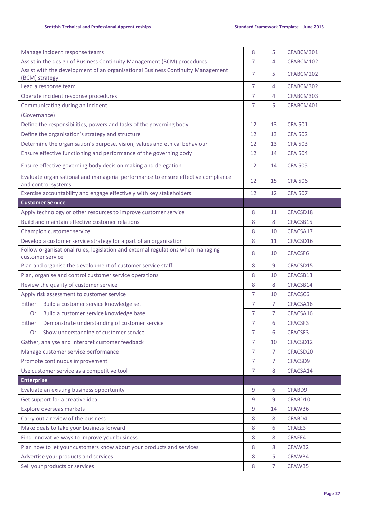| Manage incident response teams                                                                           | 8              | 5              | CFABCM301      |
|----------------------------------------------------------------------------------------------------------|----------------|----------------|----------------|
| Assist in the design of Business Continuity Management (BCM) procedures                                  |                | 4              | CFABCM102      |
| Assist with the development of an organisational Business Continuity Management<br>(BCM) strategy        |                | 5              | CFABCM202      |
| Lead a response team                                                                                     |                | 4              | CFABCM302      |
| Operate incident response procedures                                                                     | $\overline{7}$ | 4              | CFABCM303      |
| Communicating during an incident                                                                         | $\overline{7}$ | 5              | CFABCM401      |
| (Governance)                                                                                             |                |                |                |
| Define the responsibilities, powers and tasks of the governing body                                      | 12             | 13             | <b>CFA 501</b> |
| Define the organisation's strategy and structure                                                         | 12             | 13             | <b>CFA 502</b> |
| Determine the organisation's purpose, vision, values and ethical behaviour                               | 12             | 13             | <b>CFA 503</b> |
| Ensure effective functioning and performance of the governing body                                       | 12             | 14             | <b>CFA 504</b> |
| Ensure effective governing body decision making and delegation                                           | 12             | 14             | <b>CFA 505</b> |
| Evaluate organisational and managerial performance to ensure effective compliance<br>and control systems | 12             | 15             | <b>CFA 506</b> |
| Exercise accountability and engage effectively with key stakeholders                                     | 12             | 12             | <b>CFA 507</b> |
| <b>Customer Service</b>                                                                                  |                |                |                |
| Apply technology or other resources to improve customer service                                          | 8              | 11             | CFACSD18       |
| Build and maintain effective customer relations                                                          | 8              | 8              | CFACSB15       |
| Champion customer service                                                                                | 8              | 10             | CFACSA17       |
| Develop a customer service strategy for a part of an organisation                                        | 8              | 11             | CFACSD16       |
| Follow organisational rules, legislation and external regulations when managing<br>customer service      |                | 10             | CFACSF6        |
| Plan and organise the development of customer service staff                                              | 8              | 9              | CFACSD15       |
| Plan, organise and control customer service operations                                                   | 8              | 10             | CFACSB13       |
| Review the quality of customer service                                                                   | 8              | 8              | CFACSB14       |
| Apply risk assessment to customer service                                                                | $\overline{7}$ | 10             | CFACSC6        |
| Build a customer service knowledge set<br>Either                                                         | $\overline{7}$ | $\overline{7}$ | CFACSA16       |
| Build a customer service knowledge base<br><b>Or</b>                                                     | 7              | $\overline{7}$ | CFACSA16       |
| Either<br>Demonstrate understanding of customer service                                                  | 7              | 6              | CFACSF3        |
| Show understanding of customer service<br>0r                                                             | $\overline{7}$ | 6              | CFACSF3        |
| Gather, analyse and interpret customer feedback                                                          | $\overline{7}$ | 10             | CFACSD12       |
| Manage customer service performance                                                                      | $\overline{7}$ | $\overline{7}$ | CFACSD20       |
| Promote continuous improvement                                                                           | $\overline{7}$ | $\overline{7}$ | CFACSD9        |
| Use customer service as a competitive tool                                                               | 7              | 8              | CFACSA14       |
| <b>Enterprise</b>                                                                                        |                |                |                |
| Evaluate an existing business opportunity                                                                | $9$            | 6              | CFABD9         |
| Get support for a creative idea                                                                          | 9              | 9              | CFABD10        |
| Explore overseas markets                                                                                 |                | 14             | CFAWB6         |
| Carry out a review of the business                                                                       |                | 8              | CFABD4         |
| Make deals to take your business forward                                                                 |                | 6              | CFAEE3         |
| Find innovative ways to improve your business                                                            |                | 8              | CFAEE4         |
| Plan how to let your customers know about your products and services                                     |                | 8              | CFAWB2         |
| Advertise your products and services                                                                     |                | 5              | CFAWB4         |
| Sell your products or services                                                                           |                | $\overline{7}$ | CFAWB5         |